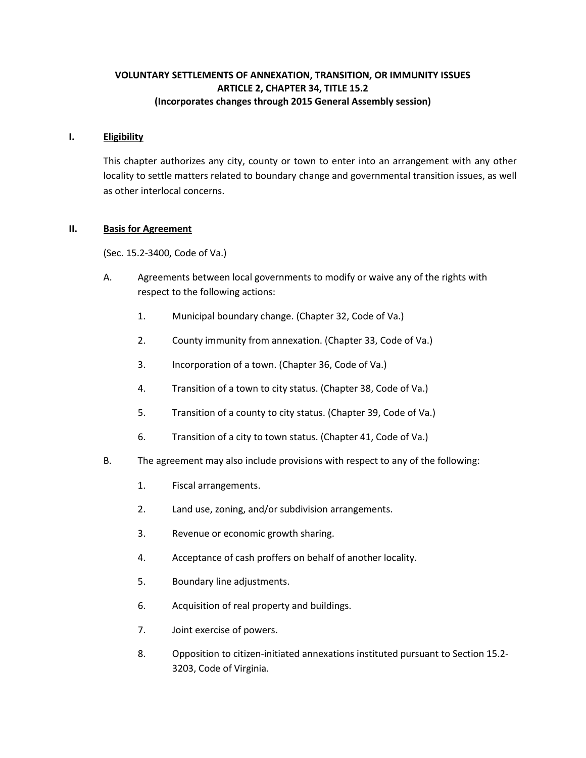# **VOLUNTARY SETTLEMENTS OF ANNEXATION, TRANSITION, OR IMMUNITY ISSUES ARTICLE 2, CHAPTER 34, TITLE 15.2 (Incorporates changes through 2015 General Assembly session)**

#### **I. Eligibility**

This chapter authorizes any city, county or town to enter into an arrangement with any other locality to settle matters related to boundary change and governmental transition issues, as well as other interlocal concerns.

#### **II. Basis for Agreement**

(Sec. 15.2-3400, Code of Va.)

- A. Agreements between local governments to modify or waive any of the rights with respect to the following actions:
	- 1. Municipal boundary change. (Chapter 32, Code of Va.)
	- 2. County immunity from annexation. (Chapter 33, Code of Va.)
	- 3. Incorporation of a town. (Chapter 36, Code of Va.)
	- 4. Transition of a town to city status. (Chapter 38, Code of Va.)
	- 5. Transition of a county to city status. (Chapter 39, Code of Va.)
	- 6. Transition of a city to town status. (Chapter 41, Code of Va.)
- B. The agreement may also include provisions with respect to any of the following:
	- 1. Fiscal arrangements.
	- 2. Land use, zoning, and/or subdivision arrangements.
	- 3. Revenue or economic growth sharing.
	- 4. Acceptance of cash proffers on behalf of another locality.
	- 5. Boundary line adjustments.
	- 6. Acquisition of real property and buildings.
	- 7. Joint exercise of powers.
	- 8. Opposition to citizen-initiated annexations instituted pursuant to Section 15.2- 3203, Code of Virginia.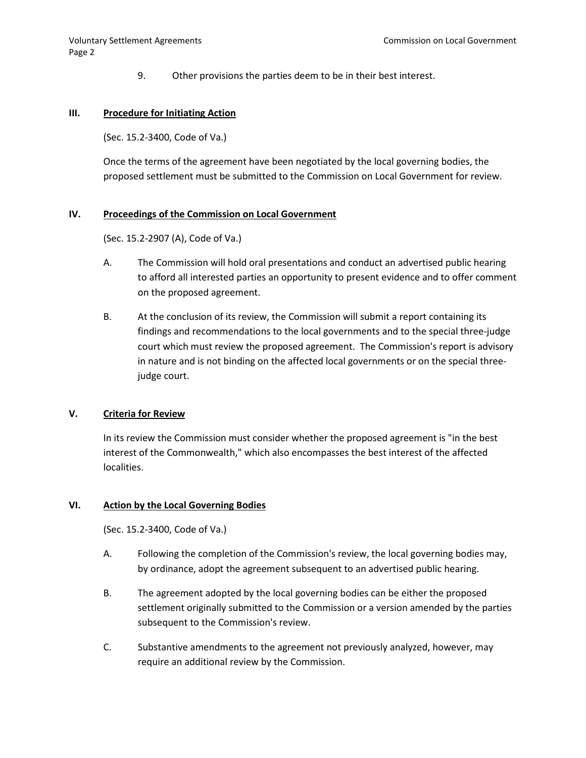9. Other provisions the parties deem to be in their best interest.

# **III. Procedure for Initiating Action**

(Sec. 15.2-3400, Code of Va.)

Once the terms of the agreement have been negotiated by the local governing bodies, the proposed settlement must be submitted to the Commission on Local Government for review.

### **IV. Proceedings of the Commission on Local Government**

(Sec. 15.2-2907 (A), Code of Va.)

- A. The Commission will hold oral presentations and conduct an advertised public hearing to afford all interested parties an opportunity to present evidence and to offer comment on the proposed agreement.
- B. At the conclusion of its review, the Commission will submit a report containing its findings and recommendations to the local governments and to the special three-judge court which must review the proposed agreement. The Commission's report is advisory in nature and is not binding on the affected local governments or on the special threejudge court.

# **V. Criteria for Review**

In its review the Commission must consider whether the proposed agreement is "in the best interest of the Commonwealth," which also encompasses the best interest of the affected localities.

# **VI. Action by the Local Governing Bodies**

(Sec. 15.2-3400, Code of Va.)

- A. Following the completion of the Commission's review, the local governing bodies may, by ordinance, adopt the agreement subsequent to an advertised public hearing.
- B. The agreement adopted by the local governing bodies can be either the proposed settlement originally submitted to the Commission or a version amended by the parties subsequent to the Commission's review.
- C. Substantive amendments to the agreement not previously analyzed, however, may require an additional review by the Commission.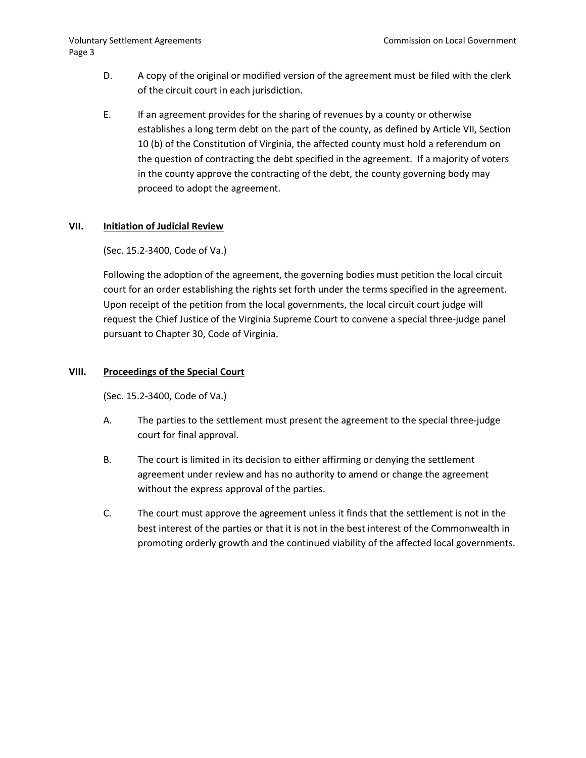- D. A copy of the original or modified version of the agreement must be filed with the clerk of the circuit court in each jurisdiction.
- E. If an agreement provides for the sharing of revenues by a county or otherwise establishes a long term debt on the part of the county, as defined by Article VII, Section 10 (b) of the Constitution of Virginia, the affected county must hold a referendum on the question of contracting the debt specified in the agreement. If a majority of voters in the county approve the contracting of the debt, the county governing body may proceed to adopt the agreement.

#### **VII. Initiation of Judicial Review**

(Sec. 15.2-3400, Code of Va.)

Following the adoption of the agreement, the governing bodies must petition the local circuit court for an order establishing the rights set forth under the terms specified in the agreement. Upon receipt of the petition from the local governments, the local circuit court judge will request the Chief Justice of the Virginia Supreme Court to convene a special three-judge panel pursuant to Chapter 30, Code of Virginia.

#### **VIII. Proceedings of the Special Court**

(Sec. 15.2-3400, Code of Va.)

- A. The parties to the settlement must present the agreement to the special three-judge court for final approval.
- B. The court is limited in its decision to either affirming or denying the settlement agreement under review and has no authority to amend or change the agreement without the express approval of the parties.
- C. The court must approve the agreement unless it finds that the settlement is not in the best interest of the parties or that it is not in the best interest of the Commonwealth in promoting orderly growth and the continued viability of the affected local governments.